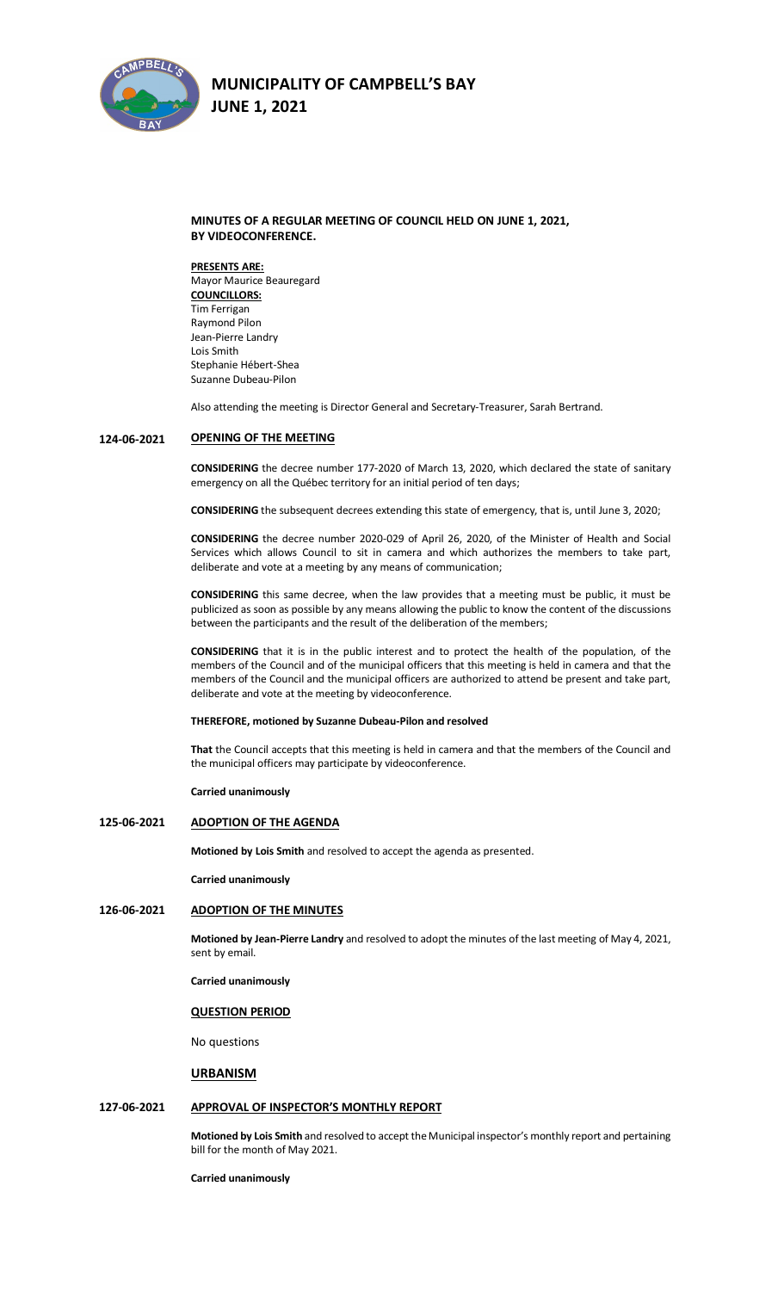

## **MINUTES OF A REGULAR MEETING OF COUNCIL HELD ON JUNE 1, 2021, BY VIDEOCONFERENCE.**

**PRESENTS ARE:**  Mayor Maurice Beauregard **COUNCILLORS:** Tim Ferrigan Raymond Pilon Jean-Pierre Landry Lois Smith Stephanie Hébert-Shea Suzanne Dubeau-Pilon

Also attending the meeting is Director General and Secretary-Treasurer, Sarah Bertrand.

#### **124-06-2021 OPENING OF THE MEETING**

**CONSIDERING** the decree number 177-2020 of March 13, 2020, which declared the state of sanitary emergency on all the Québec territory for an initial period of ten days;

**CONSIDERING** the subsequent decrees extending this state of emergency, that is, until June 3, 2020;

**CONSIDERING** the decree number 2020-029 of April 26, 2020, of the Minister of Health and Social Services which allows Council to sit in camera and which authorizes the members to take part, deliberate and vote at a meeting by any means of communication;

**CONSIDERING** this same decree, when the law provides that a meeting must be public, it must be publicized as soon as possible by any means allowing the public to know the content of the discussions between the participants and the result of the deliberation of the members;

**CONSIDERING** that it is in the public interest and to protect the health of the population, of the members of the Council and of the municipal officers that this meeting is held in camera and that the members of the Council and the municipal officers are authorized to attend be present and take part, deliberate and vote at the meeting by videoconference.

**THEREFORE, motioned by Suzanne Dubeau-Pilon and resolved**

**That** the Council accepts that this meeting is held in camera and that the members of the Council and the municipal officers may participate by videoconference.

**Carried unanimously**

### **125-06-2021 ADOPTION OF THE AGENDA**

**Motioned by Lois Smith** and resolved to accept the agenda as presented.

**Carried unanimously**

## **126-06-2021 ADOPTION OF THE MINUTES**

**Motioned by Jean-Pierre Landry** and resolved to adopt the minutes of the last meeting of May 4, 2021, sent by email.

**Carried unanimously**

### **QUESTION PERIOD**

No questions

### **URBANISM**

## **127-06-2021 APPROVAL OF INSPECTOR'S MONTHLY REPORT**

**Motioned by Lois Smith** and resolved to accept the Municipal inspector's monthly report and pertaining bill for the month of May 2021.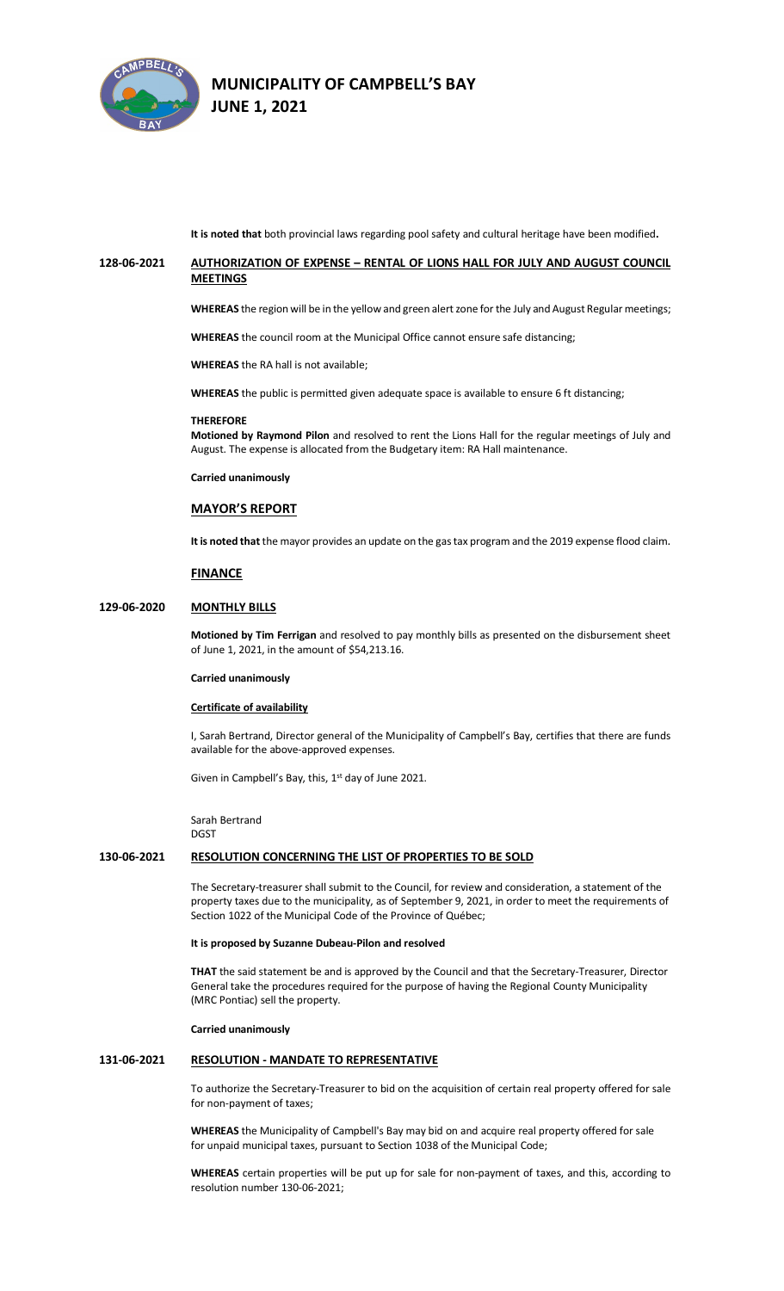

**It is noted that** both provincial laws regarding pool safety and cultural heritage have been modified**.**

## **128-06-2021 AUTHORIZATION OF EXPENSE – RENTAL OF LIONS HALL FOR JULY AND AUGUST COUNCIL MEETINGS**

**WHEREAS** the region will be in the yellow and green alert zone for the July and August Regular meetings;

**WHEREAS** the council room at the Municipal Office cannot ensure safe distancing;

**WHEREAS** the RA hall is not available;

**WHEREAS** the public is permitted given adequate space is available to ensure 6 ft distancing;

#### **THEREFORE**

**Motioned by Raymond Pilon** and resolved to rent the Lions Hall for the regular meetings of July and August. The expense is allocated from the Budgetary item: RA Hall maintenance.

**Carried unanimously**

### **MAYOR'S REPORT**

**It is noted that** the mayor provides an update on the gas tax program and the 2019 expense flood claim.

#### **FINANCE**

## **129-06-2020 MONTHLY BILLS**

**Motioned by Tim Ferrigan** and resolved to pay monthly bills as presented on the disbursement sheet of June 1, 2021, in the amount of \$54,213.16.

#### **Carried unanimously**

#### **Certificate of availability**

I, Sarah Bertrand, Director general of the Municipality of Campbell's Bay, certifies that there are funds available for the above-approved expenses.

Given in Campbell's Bay, this, 1<sup>st</sup> day of June 2021.

Sarah Bertrand DGST

### **130-06-2021 RESOLUTION CONCERNING THE LIST OF PROPERTIES TO BE SOLD**

The Secretary-treasurer shall submit to the Council, for review and consideration, a statement of the property taxes due to the municipality, as of September 9, 2021, in order to meet the requirements of Section 1022 of the Municipal Code of the Province of Québec;

### **It is proposed by Suzanne Dubeau-Pilon and resolved**

**THAT** the said statement be and is approved by the Council and that the Secretary-Treasurer, Director General take the procedures required for the purpose of having the Regional County Municipality (MRC Pontiac) sell the property.

### **Carried unanimously**

## **131-06-2021 RESOLUTION - MANDATE TO REPRESENTATIVE**

To authorize the Secretary-Treasurer to bid on the acquisition of certain real property offered for sale for non-payment of taxes;

**WHEREAS** the Municipality of Campbell's Bay may bid on and acquire real property offered for sale for unpaid municipal taxes, pursuant to Section 1038 of the Municipal Code;

**WHEREAS** certain properties will be put up for sale for non-payment of taxes, and this, according to resolution number 130-06-2021;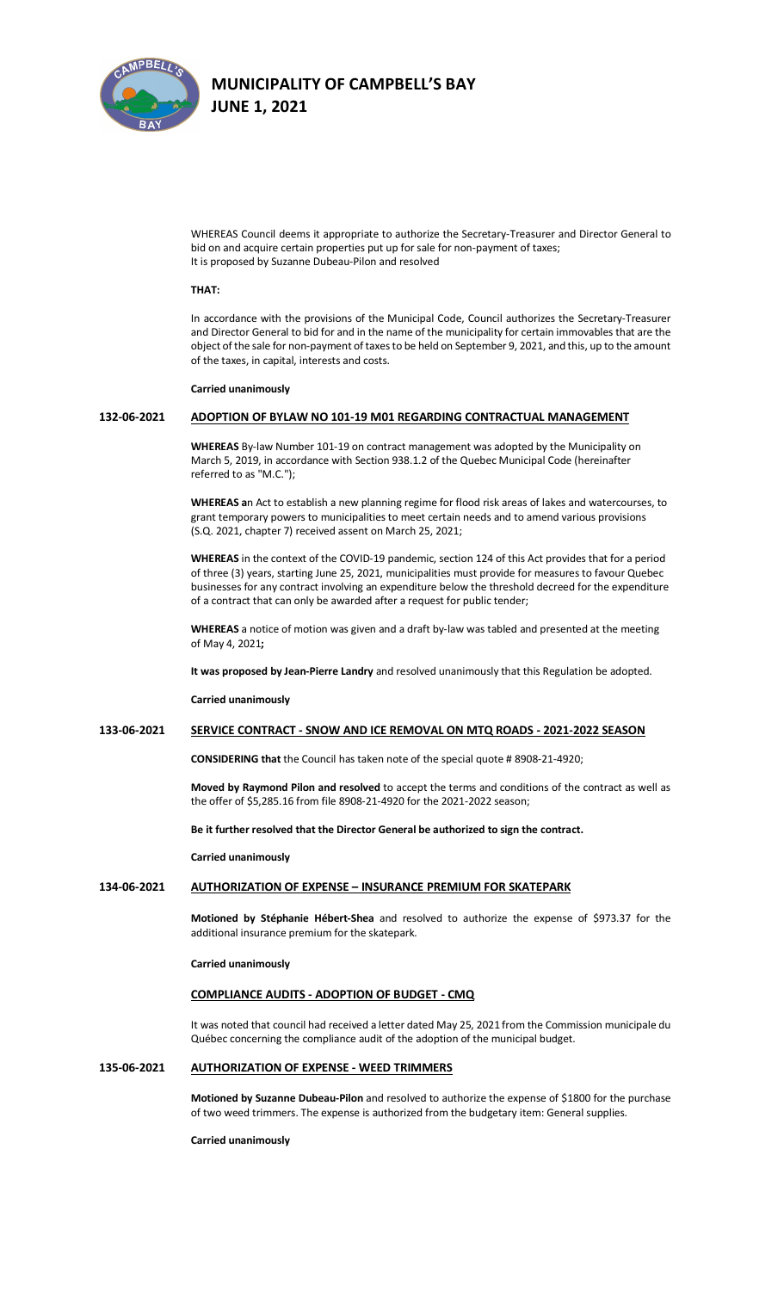

WHEREAS Council deems it appropriate to authorize the Secretary-Treasurer and Director General to bid on and acquire certain properties put up for sale for non-payment of taxes; It is proposed by Suzanne Dubeau-Pilon and resolved

### **THAT:**

In accordance with the provisions of the Municipal Code, Council authorizes the Secretary-Treasurer and Director General to bid for and in the name of the municipality for certain immovables that are the object of the sale for non-payment of taxes to be held on September 9, 2021, and this, up to the amount of the taxes, in capital, interests and costs.

#### **Carried unanimously**

## **132-06-2021 ADOPTION OF BYLAW NO 101-19 M01 REGARDING CONTRACTUAL MANAGEMENT**

**WHEREAS** By-law Number 101-19 on contract management was adopted by the Municipality on March 5, 2019, in accordance with Section 938.1.2 of the Quebec Municipal Code (hereinafter referred to as "M.C.");

**WHEREAS a**n Act to establish a new planning regime for flood risk areas of lakes and watercourses, to grant temporary powers to municipalities to meet certain needs and to amend various provisions (S.Q. 2021, chapter 7) received assent on March 25, 2021;

**WHEREAS** in the context of the COVID-19 pandemic, section 124 of this Act provides that for a period of three (3) years, starting June 25, 2021, municipalities must provide for measures to favour Quebec businesses for any contract involving an expenditure below the threshold decreed for the expenditure of a contract that can only be awarded after a request for public tender;

**WHEREAS** a notice of motion was given and a draft by-law was tabled and presented at the meeting of May 4, 2021**;**

**It was proposed by Jean-Pierre Landry** and resolved unanimously that this Regulation be adopted.

**Carried unanimously**

### **133-06-2021 SERVICE CONTRACT - SNOW AND ICE REMOVAL ON MTQ ROADS - 2021-2022 SEASON**

**CONSIDERING that** the Council has taken note of the special quote # 8908-21-4920;

**Moved by Raymond Pilon and resolved** to accept the terms and conditions of the contract as well as the offer of \$5,285.16 from file 8908-21-4920 for the 2021-2022 season;

**Be it further resolved that the Director General be authorized to sign the contract.**

**Carried unanimously**

## **134-06-2021 AUTHORIZATION OF EXPENSE – INSURANCE PREMIUM FOR SKATEPARK**

**Motioned by Stéphanie Hébert-Shea** and resolved to authorize the expense of \$973.37 for the additional insurance premium for the skatepark.

**Carried unanimously**

### **COMPLIANCE AUDITS - ADOPTION OF BUDGET - CMQ**

It was noted that council had received a letter dated May 25, 2021 from the Commission municipale du Québec concerning the compliance audit of the adoption of the municipal budget.

## **135-06-2021 AUTHORIZATION OF EXPENSE - WEED TRIMMERS**

**Motioned by Suzanne Dubeau-Pilon** and resolved to authorize the expense of \$1800 for the purchase of two weed trimmers. The expense is authorized from the budgetary item: General supplies.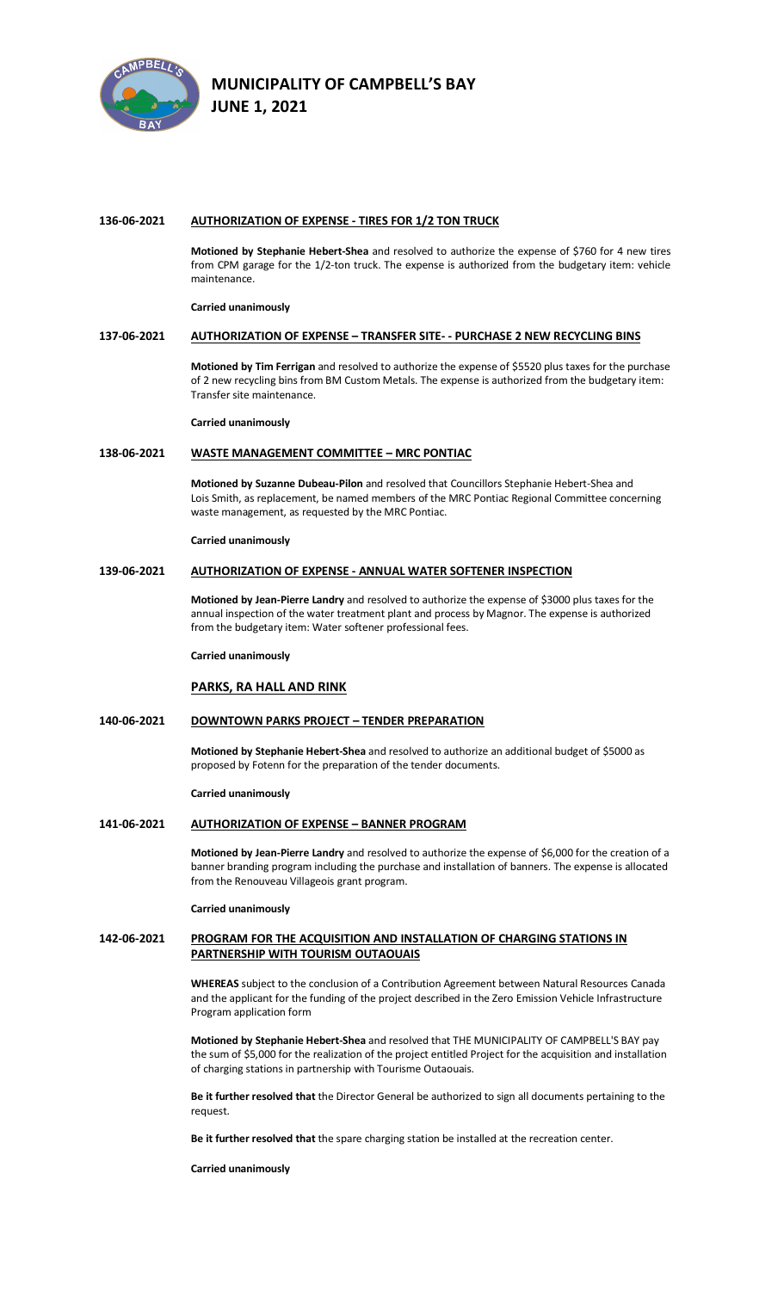

### **136-06-2021 AUTHORIZATION OF EXPENSE - TIRES FOR 1/2 TON TRUCK**

**Motioned by Stephanie Hebert-Shea** and resolved to authorize the expense of \$760 for 4 new tires from CPM garage for the 1/2-ton truck. The expense is authorized from the budgetary item: vehicle maintenance.

### **Carried unanimously**

## **137-06-2021 AUTHORIZATION OF EXPENSE – TRANSFER SITE- - PURCHASE 2 NEW RECYCLING BINS**

**Motioned by Tim Ferrigan** and resolved to authorize the expense of \$5520 plus taxes for the purchase of 2 new recycling bins from BM Custom Metals. The expense is authorized from the budgetary item: Transfer site maintenance.

**Carried unanimously**

## **138-06-2021 WASTE MANAGEMENT COMMITTEE – MRC PONTIAC**

**Motioned by Suzanne Dubeau-Pilon** and resolved that Councillors Stephanie Hebert-Shea and Lois Smith, as replacement, be named members of the MRC Pontiac Regional Committee concerning waste management, as requested by the MRC Pontiac.

### **Carried unanimously**

### **139-06-2021 AUTHORIZATION OF EXPENSE - ANNUAL WATER SOFTENER INSPECTION**

**Motioned by Jean-Pierre Landry** and resolved to authorize the expense of \$3000 plus taxes for the annual inspection of the water treatment plant and process by Magnor. The expense is authorized from the budgetary item: Water softener professional fees.

#### **Carried unanimously**

## **PARKS, RA HALL AND RINK**

### **140-06-2021 DOWNTOWN PARKS PROJECT – TENDER PREPARATION**

**Motioned by Stephanie Hebert-Shea** and resolved to authorize an additional budget of \$5000 as proposed by Fotenn for the preparation of the tender documents.

**Carried unanimously**

### **141-06-2021 AUTHORIZATION OF EXPENSE – BANNER PROGRAM**

**Motioned by Jean-Pierre Landry** and resolved to authorize the expense of \$6,000 for the creation of a banner branding program including the purchase and installation of banners. The expense is allocated from the Renouveau Villageois grant program.

### **Carried unanimously**

## **142-06-2021 PROGRAM FOR THE ACQUISITION AND INSTALLATION OF CHARGING STATIONS IN PARTNERSHIP WITH TOURISM OUTAOUAIS**

**WHEREAS** subject to the conclusion of a Contribution Agreement between Natural Resources Canada and the applicant for the funding of the project described in the Zero Emission Vehicle Infrastructure Program application form

**Motioned by Stephanie Hebert-Shea** and resolved that THE MUNICIPALITY OF CAMPBELL'S BAY pay the sum of \$5,000 for the realization of the project entitled Project for the acquisition and installation of charging stations in partnership with Tourisme Outaouais.

**Be it further resolved that** the Director General be authorized to sign all documents pertaining to the request.

**Be it further resolved that** the spare charging station be installed at the recreation center.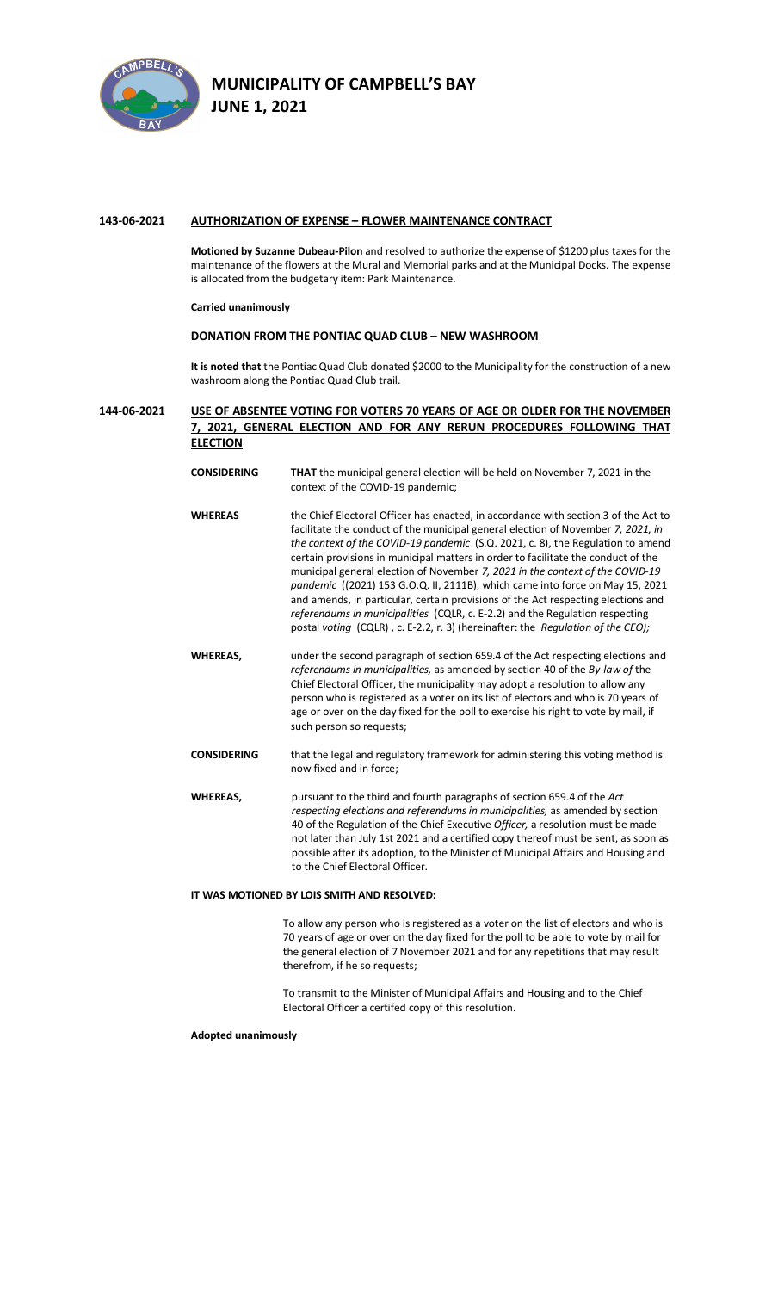

## **143-06-2021 AUTHORIZATION OF EXPENSE – FLOWER MAINTENANCE CONTRACT**

**Motioned by Suzanne Dubeau-Pilon** and resolved to authorize the expense of \$1200 plus taxesfor the maintenance of the flowers at the Mural and Memorial parks and at the Municipal Docks. The expense is allocated from the budgetary item: Park Maintenance.

### **Carried unanimously**

## **DONATION FROM THE PONTIAC QUAD CLUB – NEW WASHROOM**

**It is noted that** the Pontiac Quad Club donated \$2000 to the Municipality for the construction of a new washroom along the Pontiac Quad Club trail.

## **144-06-2021 USE OF ABSENTEE VOTING FOR VOTERS 70 YEARS OF AGE OR OLDER FOR THE NOVEMBER 7, 2021, GENERAL ELECTION AND FOR ANY RERUN PROCEDURES FOLLOWING THAT ELECTION**

- **CONSIDERING THAT** the municipal general election will be held on November 7, 2021 in the context of the COVID-19 pandemic; **WHEREAS** the Chief Electoral Officer has enacted, in accordance with section 3 of the Act to
- facilitate the conduct of the municipal general election of November *7, 2021, in the context of the COVID-19 pandemic* (S.Q. 2021, c. 8), the Regulation to amend certain provisions in municipal matters in order to facilitate the conduct of the municipal general election of November *7, 2021 in the context of the COVID-19 pandemic* ((2021) 153 G.O.Q. II, 2111B), which came into force on May 15, 2021 and amends, in particular, certain provisions of the Act respecting elections and *referendums in municipalities* (CQLR, c. E-2.2) and the Regulation respecting postal *voting* (CQLR) , c. E-2.2, r. 3) (hereinafter: the *Regulation of the CEO);*
- **WHEREAS,** under the second paragraph of section 659.4 of the Act respecting elections and *referendums in municipalities,* as amended by section 40 of the *By-law of* the Chief Electoral Officer, the municipality may adopt a resolution to allow any person who is registered as a voter on its list of electors and who is 70 years of age or over on the day fixed for the poll to exercise his right to vote by mail, if such person so requests;
- **CONSIDERING** that the legal and regulatory framework for administering this voting method is now fixed and in force;
- **WHEREAS,** pursuant to the third and fourth paragraphs of section 659.4 of the *Act respecting elections and referendums in municipalities,* as amended by section 40 of the Regulation of the Chief Executive *Officer,* a resolution must be made not later than July 1st 2021 and a certified copy thereof must be sent, as soon as possible after its adoption, to the Minister of Municipal Affairs and Housing and to the Chief Electoral Officer.

### **IT WAS MOTIONED BY LOIS SMITH AND RESOLVED:**

To allow any person who is registered as a voter on the list of electors and who is 70 years of age or over on the day fixed for the poll to be able to vote by mail for the general election of 7 November 2021 and for any repetitions that may result therefrom, if he so requests;

To transmit to the Minister of Municipal Affairs and Housing and to the Chief Electoral Officer a certifed copy of this resolution.

### **Adopted unanimously**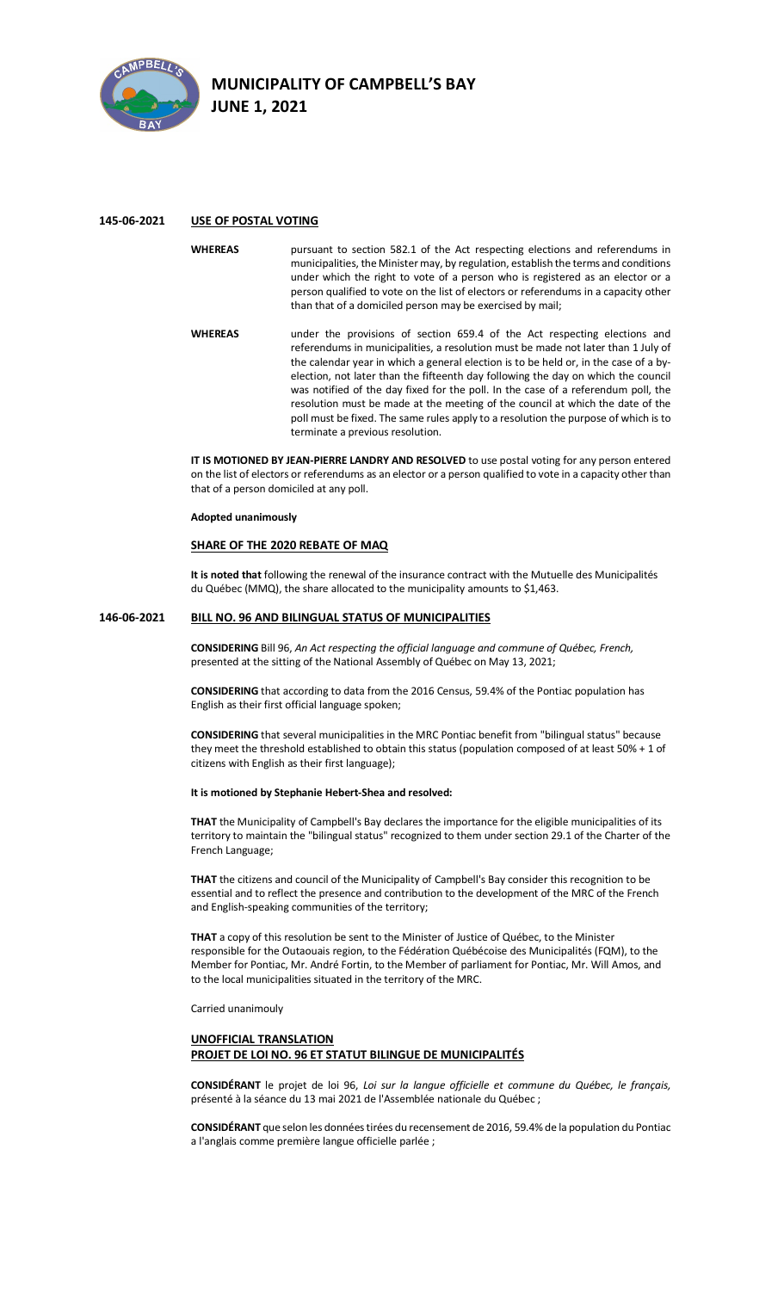

## **145-06-2021 USE OF POSTAL VOTING**

- **WHEREAS** pursuant to section 582.1 of the Act respecting elections and referendums in municipalities, the Minister may, by regulation, establish the terms and conditions under which the right to vote of a person who is registered as an elector or a person qualified to vote on the list of electors or referendums in a capacity other than that of a domiciled person may be exercised by mail;
- **WHEREAS** under the provisions of section 659.4 of the Act respecting elections and referendums in municipalities, a resolution must be made not later than 1 July of the calendar year in which a general election is to be held or, in the case of a byelection, not later than the fifteenth day following the day on which the council was notified of the day fixed for the poll. In the case of a referendum poll, the resolution must be made at the meeting of the council at which the date of the poll must be fixed. The same rules apply to a resolution the purpose of which is to terminate a previous resolution.

**IT IS MOTIONED BY JEAN-PIERRE LANDRY AND RESOLVED** to use postal voting for any person entered on the list of electors or referendums as an elector or a person qualified to vote in a capacity other than that of a person domiciled at any poll.

### **Adopted unanimously**

### **SHARE OF THE 2020 REBATE OF MAQ**

**It is noted that** following the renewal of the insurance contract with the Mutuelle des Municipalités du Québec (MMQ), the share allocated to the municipality amounts to \$1,463.

## **146-06-2021 BILL NO. 96 AND BILINGUAL STATUS OF MUNICIPALITIES**

**CONSIDERING** Bill 96, *An Act respecting the official language and commune of Québec, French,* presented at the sitting of the National Assembly of Québec on May 13, 2021;

**CONSIDERING** that according to data from the 2016 Census, 59.4% of the Pontiac population has English as their first official language spoken;

**CONSIDERING** that several municipalities in the MRC Pontiac benefit from "bilingual status" because they meet the threshold established to obtain this status (population composed of at least 50% + 1 of citizens with English as their first language);

### **It is motioned by Stephanie Hebert-Shea and resolved:**

**THAT** the Municipality of Campbell's Bay declares the importance for the eligible municipalities of its territory to maintain the "bilingual status" recognized to them under section 29.1 of the Charter of the French Language;

**THAT** the citizens and council of the Municipality of Campbell's Bay consider this recognition to be essential and to reflect the presence and contribution to the development of the MRC of the French and English-speaking communities of the territory;

**THAT** a copy of this resolution be sent to the Minister of Justice of Québec, to the Minister responsible for the Outaouais region, to the Fédération Québécoise des Municipalités (FQM), to the Member for Pontiac, Mr. André Fortin, to the Member of parliament for Pontiac, Mr. Will Amos, and to the local municipalities situated in the territory of the MRC.

Carried unanimouly

### **UNOFFICIAL TRANSLATION PROJET DE LOI NO. 96 ET STATUT BILINGUE DE MUNICIPALITÉS**

**CONSIDÉRANT** le projet de loi 96, *Loi sur la langue officielle et commune du Québec, le français,* présenté à la séance du 13 mai 2021 de l'Assemblée nationale du Québec ;

**CONSIDÉRANT** que selon les donnéestirées du recensement de 2016, 59.4% de la population du Pontiac a l'anglais comme première langue officielle parlée ;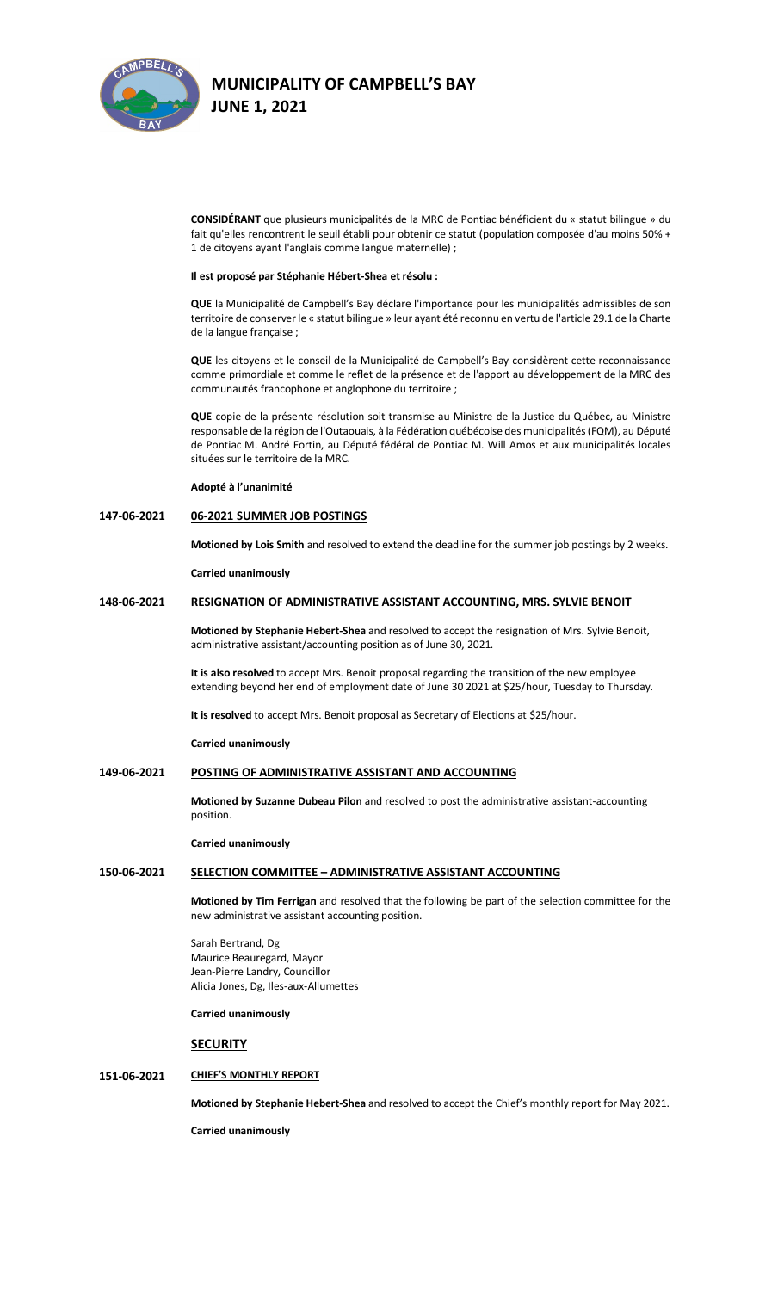

**CONSIDÉRANT** que plusieurs municipalités de la MRC de Pontiac bénéficient du « statut bilingue » du fait qu'elles rencontrent le seuil établi pour obtenir ce statut (population composée d'au moins 50% + 1 de citoyens ayant l'anglais comme langue maternelle) ;

#### **Il est proposé par Stéphanie Hébert-Shea et résolu :**

**QUE** la Municipalité de Campbell's Bay déclare l'importance pour les municipalités admissibles de son territoire de conserver le « statut bilingue » leur ayant été reconnu en vertu de l'article 29.1 de la Charte de la langue française ;

**QUE** les citoyens et le conseil de la Municipalité de Campbell's Bay considèrent cette reconnaissance comme primordiale et comme le reflet de la présence et de l'apport au développement de la MRC des communautés francophone et anglophone du territoire ;

**QUE** copie de la présente résolution soit transmise au Ministre de la Justice du Québec, au Ministre responsable de la région de l'Outaouais, à la Fédération québécoise des municipalités (FQM), au Député de Pontiac M. André Fortin, au Député fédéral de Pontiac M. Will Amos et aux municipalités locales situées sur le territoire de la MRC.

### **Adopté à l'unanimité**

## **147-06-2021 06-2021 SUMMER JOB POSTINGS**

**Motioned by Lois Smith** and resolved to extend the deadline for the summer job postings by 2 weeks.

**Carried unanimously**

### **148-06-2021 RESIGNATION OF ADMINISTRATIVE ASSISTANT ACCOUNTING, MRS. SYLVIE BENOIT**

**Motioned by Stephanie Hebert-Shea** and resolved to accept the resignation of Mrs. Sylvie Benoit, administrative assistant/accounting position as of June 30, 2021.

**It is also resolved** to accept Mrs. Benoit proposal regarding the transition of the new employee extending beyond her end of employment date of June 30 2021 at \$25/hour, Tuesday to Thursday.

**It is resolved** to accept Mrs. Benoit proposal as Secretary of Elections at \$25/hour.

**Carried unanimously**

### **149-06-2021 POSTING OF ADMINISTRATIVE ASSISTANT AND ACCOUNTING**

**Motioned by Suzanne Dubeau Pilon** and resolved to post the administrative assistant-accounting position.

### **Carried unanimously**

### **150-06-2021 SELECTION COMMITTEE – ADMINISTRATIVE ASSISTANT ACCOUNTING**

**Motioned by Tim Ferrigan** and resolved that the following be part of the selection committee for the new administrative assistant accounting position.

Sarah Bertrand, Dg Maurice Beauregard, Mayor Jean-Pierre Landry, Councillor Alicia Jones, Dg, Iles-aux-Allumettes

**Carried unanimously**

### **SECURITY**

### **151-06-2021 CHIEF'S MONTHLY REPORT**

**Motioned by Stephanie Hebert-Shea** and resolved to accept the Chief's monthly report for May 2021.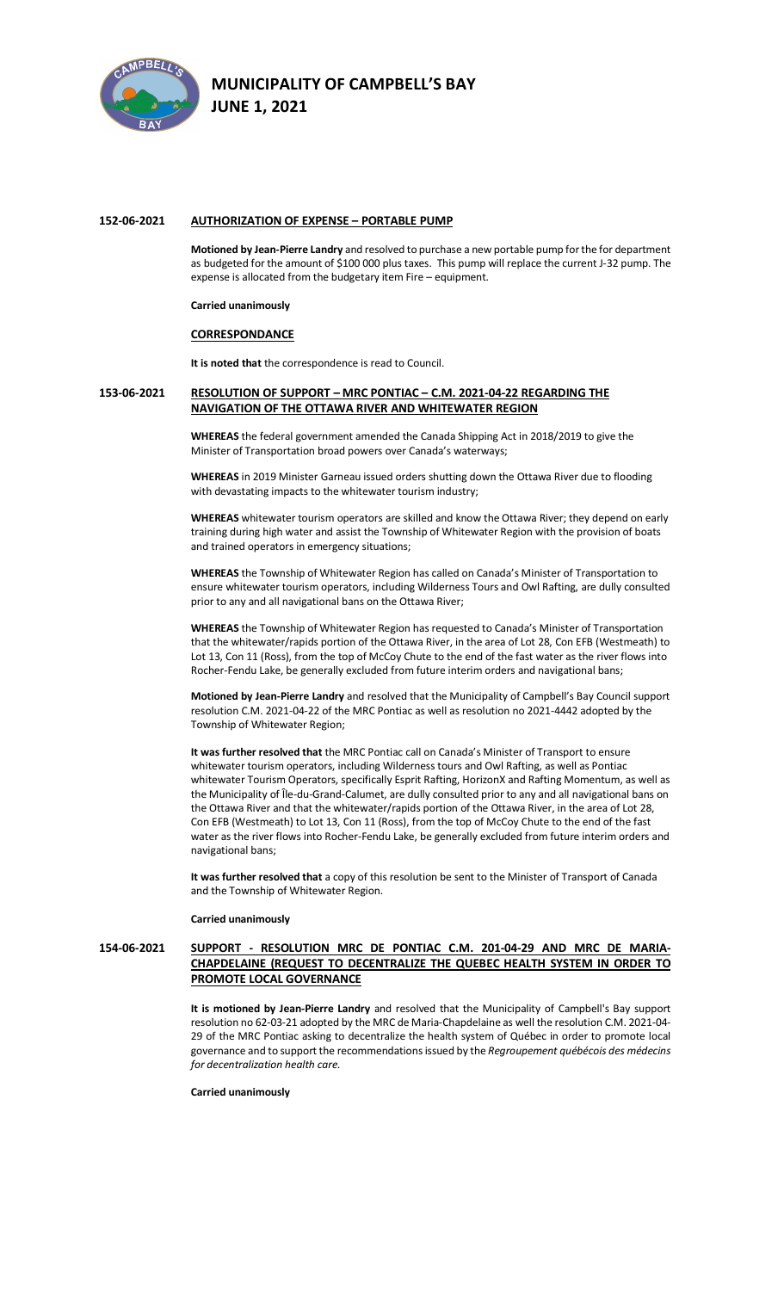

### **152-06-2021 AUTHORIZATION OF EXPENSE – PORTABLE PUMP**

**Motioned by Jean-Pierre Landry** and resolved to purchase a new portable pump for the for department as budgeted for the amount of \$100 000 plus taxes. This pump will replace the current J-32 pump. The expense is allocated from the budgetary item Fire – equipment.

### **Carried unanimously**

### **CORRESPONDANCE**

**It is noted that** the correspondence is read to Council.

### **153-06-2021 RESOLUTION OF SUPPORT – MRC PONTIAC – C.M. 2021-04-22 REGARDING THE NAVIGATION OF THE OTTAWA RIVER AND WHITEWATER REGION**

**WHEREAS** the federal government amended the Canada Shipping Act in 2018/2019 to give the Minister of Transportation broad powers over Canada's waterways;

**WHEREAS** in 2019 Minister Garneau issued orders shutting down the Ottawa River due to flooding with devastating impacts to the whitewater tourism industry;

**WHEREAS** whitewater tourism operators are skilled and know the Ottawa River; they depend on early training during high water and assist the Township of Whitewater Region with the provision of boats and trained operators in emergency situations;

**WHEREAS** the Township of Whitewater Region has called on Canada's Minister of Transportation to ensure whitewater tourism operators, including Wilderness Tours and Owl Rafting, are dully consulted prior to any and all navigational bans on the Ottawa River;

**WHEREAS** the Township of Whitewater Region has requested to Canada's Minister of Transportation that the whitewater/rapids portion of the Ottawa River, in the area of Lot 28, Con EFB (Westmeath) to Lot 13, Con 11 (Ross), from the top of McCoy Chute to the end of the fast water as the river flows into Rocher-Fendu Lake, be generally excluded from future interim orders and navigational bans;

**Motioned by Jean-Pierre Landry** and resolved that the Municipality of Campbell's Bay Council support resolution C.M. 2021-04-22 of the MRC Pontiac as well as resolution no 2021-4442 adopted by the Township of Whitewater Region;

**It was further resolved that** the MRC Pontiac call on Canada's Minister of Transport to ensure whitewater tourism operators, including Wilderness tours and Owl Rafting, as well as Pontiac whitewater Tourism Operators, specifically Esprit Rafting, HorizonX and Rafting Momentum, as well as the Municipality of Île-du-Grand-Calumet, are dully consulted prior to any and all navigational bans on the Ottawa River and that the whitewater/rapids portion of the Ottawa River, in the area of Lot 28, Con EFB (Westmeath) to Lot 13, Con 11 (Ross), from the top of McCoy Chute to the end of the fast water as the river flows into Rocher-Fendu Lake, be generally excluded from future interim orders and navigational bans;

**It was further resolved that** a copy of this resolution be sent to the Minister of Transport of Canada and the Township of Whitewater Region.

#### **Carried unanimously**

## **154-06-2021 SUPPORT - RESOLUTION MRC DE PONTIAC C.M. 201-04-29 AND MRC DE MARIA-CHAPDELAINE (REQUEST TO DECENTRALIZE THE QUEBEC HEALTH SYSTEM IN ORDER TO PROMOTE LOCAL GOVERNANCE**

**It is motioned by Jean-Pierre Landry** and resolved that the Municipality of Campbell's Bay support resolution no 62-03-21 adopted by the MRC de Maria-Chapdelaine as well the resolution C.M. 2021-04- 29 of the MRC Pontiac asking to decentralize the health system of Québec in order to promote local governance and to support the recommendations issued by the *Regroupement québécois des médecins for decentralization health care.*